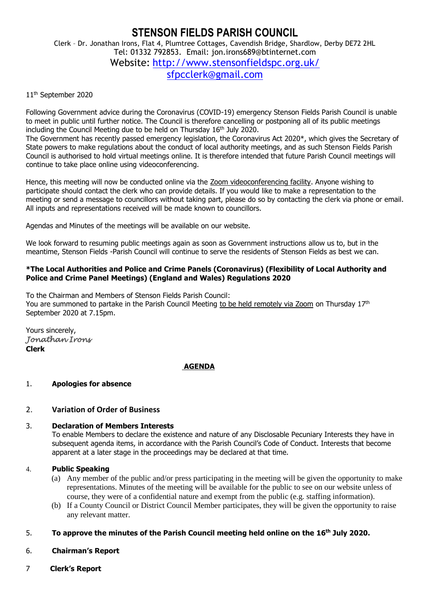# **STENSON FIELDS PARISH COUNCIL** Clerk – Dr. Jonathan Irons, Flat 4, Plumtree Cottages, Cavendish Bridge, Shardlow, Derby DE72 2HL Tel: 01332 792853. Email: jon.irons689@btinternet.com Website: <http://www.stensonfieldspc.org.uk/> [sfpcclerk@gmail.com](mailto:sfpcclerk@gmail.com)

#### 11<sup>th</sup> September 2020

Following Government advice during the Coronavirus (COVID-19) emergency Stenson Fields Parish Council is unable to meet in public until further notice. The Council is therefore cancelling or postponing all of its public meetings including the Council Meeting due to be held on Thursday 16<sup>th</sup> July 2020.

The Government has recently passed emergency legislation, the Coronavirus Act 2020\*, which gives the Secretary of State powers to make regulations about the conduct of local authority meetings, and as such Stenson Fields Parish Council is authorised to hold virtual meetings online. It is therefore intended that future Parish Council meetings will continue to take place online using videoconferencing.

Hence, this meeting will now be conducted online via the Zoom videoconferencing facility. Anyone wishing to participate should contact the clerk who can provide details. If you would like to make a representation to the meeting or send a message to councillors without taking part, please do so by contacting the clerk via phone or email. All inputs and representations received will be made known to councillors.

Agendas and Minutes of the meetings will be available on our website.

We look forward to resuming public meetings again as soon as Government instructions allow us to, but in the meantime, Stenson Fields -Parish Council will continue to serve the residents of Stenson Fields as best we can.

#### **\*The Local Authorities and Police and Crime Panels (Coronavirus) (Flexibility of Local Authority and Police and Crime Panel Meetings) (England and Wales) Regulations 2020**

To the Chairman and Members of Stenson Fields Parish Council: You are summoned to partake in the Parish Council Meeting to be held remotely via Zoom on Thursday 17<sup>th</sup> September 2020 at 7.15pm.

Yours sincerely, *Jonathan Irons*  **Clerk**

# **AGENDA**

#### 1. **Apologies for absence**

#### 2. **Variation of Order of Business**

#### 3. **Declaration of Members Interests**

To enable Members to declare the existence and nature of any Disclosable Pecuniary Interests they have in subsequent agenda items, in accordance with the Parish Council's Code of Conduct. Interests that become apparent at a later stage in the proceedings may be declared at that time.

#### 4. **Public Speaking**

- (a) Any member of the public and/or press participating in the meeting will be given the opportunity to make representations. Minutes of the meeting will be available for the public to see on our website unless of course, they were of a confidential nature and exempt from the public (e.g. staffing information).
- (b) If a County Council or District Council Member participates, they will be given the opportunity to raise any relevant matter.

#### 5. **To approve the minutes of the Parish Council meeting held online on the 16 th July 2020.**

#### 6. **Chairman's Report**

7 **Clerk's Report**